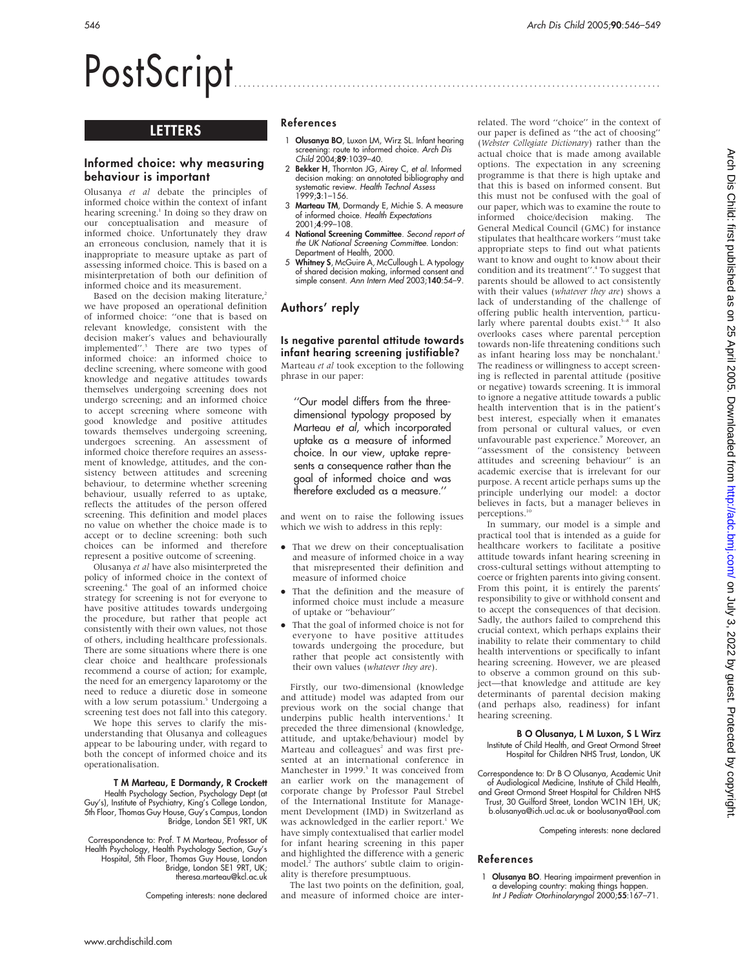# PostScript

# **LETTERS**

# Informed choice: why measuring behaviour is important

Olusanya et al debate the principles of informed choice within the context of infant hearing screening.<sup>1</sup> In doing so they draw on our conceptualisation and measure of informed choice. Unfortunately they draw an erroneous conclusion, namely that it is inappropriate to measure uptake as part of assessing informed choice. This is based on a misinterpretation of both our definition of informed choice and its measurement.

Based on the decision making literature,<sup>2</sup> we have proposed an operational definition of informed choice: ''one that is based on relevant knowledge, consistent with the decision maker's values and behaviourally implemented''.3 There are two types of informed choice: an informed choice to decline screening, where someone with good knowledge and negative attitudes towards themselves undergoing screening does not undergo screening; and an informed choice to accept screening where someone with good knowledge and positive attitudes towards themselves undergoing screening, undergoes screening. An assessment of informed choice therefore requires an assessment of knowledge, attitudes, and the consistency between attitudes and screening behaviour, to determine whether screening behaviour, usually referred to as uptake, reflects the attitudes of the person offered screening. This definition and model places no value on whether the choice made is to accept or to decline screening: both such choices can be informed and therefore represent a positive outcome of screening.

Olusanya et al have also misinterpreted the policy of informed choice in the context of screening.<sup>4</sup> The goal of an informed choice strategy for screening is not for everyone to have positive attitudes towards undergoing the procedure, but rather that people act consistently with their own values, not those of others, including healthcare professionals. There are some situations where there is one clear choice and healthcare professionals recommend a course of action; for example, the need for an emergency laparotomy or the need to reduce a diuretic dose in someone with a low serum potassium.<sup>5</sup> Undergoing a screening test does not fall into this category.

We hope this serves to clarify the misunderstanding that Olusanya and colleagues appear to be labouring under, with regard to both the concept of informed choice and its operationalisation.

## T M Marteau, E Dormandy, R Crockett

Health Psychology Section, Psychology Dept (at Guy's), Institute of Psychiatry, King's College London, 5th Floor, Thomas Guy House, Guy's Campus, London Bridge, London SE1 9RT, UK

Correspondence to: Prof. T M Marteau, Professor of Health Psychology, Health Psychology Section, Guy's Hospital, 5th Floor, Thomas Guy House, London Bridge, London SE1 9RT, UK; theresa.marteau@kcl.ac.uk

Competing interests: none declared

# References

- 1 Olusanya BO, Luxon LM, Wirz SL. Infant hearing screening: route to informed choice. *Arch Dis*<br>*Child* 2004;**89**:1039–40.
- 2 Bekker H, Thornton JG, Airey C, et al. Informed decision making: an annotated bibliography and systematic review. Health Technol Assess 1999;3:1–156.
- 3 Marteau TM, Dormandy E, Michie S. A measure of informed choice. Health Expectations 2001;4:99–108.
- 4 National Screening Committee. Second report of the UK National Screening Committee. London: Department of Health, 2000.
- 5 Whitney S, McGuire A, McCullough L. A typology of shared decision making, informed consent and simple consent. Ann Intern Med 2003;140:54–9.

# Authors' reply

Is negative parental attitude towards infant hearing screening justifiable? Marteau et al took exception to the following phrase in our paper:

''Our model differs from the threedimensional typology proposed by Marteau et al, which incorporated uptake as a measure of informed choice. In our view, uptake represents a consequence rather than the goal of informed choice and was therefore excluded as a measure.''

and went on to raise the following issues which we wish to address in this reply:

- That we drew on their conceptualisation and measure of informed choice in a way that misrepresented their definition and measure of informed choice
- That the definition and the measure of informed choice must include a measure of uptake or ''behaviour''
- That the goal of informed choice is not for everyone to have positive attitudes towards undergoing the procedure, but rather that people act consistently with their own values (whatever they are).

Firstly, our two-dimensional (knowledge and attitude) model was adapted from our previous work on the social change that underpins public health interventions.<sup>1</sup> It preceded the three dimensional (knowledge, attitude, and uptake/behaviour) model by Marteau and colleagues<sup>2</sup> and was first presented at an international conference in Manchester in 1999.<sup>3</sup> It was conceived from an earlier work on the management of corporate change by Professor Paul Strebel of the International Institute for Management Development (IMD) in Switzerland as was acknowledged in the earlier report.<sup>1</sup> We have simply contextualised that earlier model for infant hearing screening in this paper and highlighted the difference with a generic model.<sup>2</sup> The authors' subtle claim to originality is therefore presumptuous.

The last two points on the definition, goal, and measure of informed choice are inter-

related. The word ''choice'' in the context of our paper is defined as ''the act of choosing'' (Webster Collegiate Dictionary) rather than the actual choice that is made among available options. The expectation in any screening programme is that there is high uptake and that this is based on informed consent. But this must not be confused with the goal of our paper, which was to examine the route to informed choice/decision making. The General Medical Council (GMC) for instance stipulates that healthcare workers ''must take appropriate steps to find out what patients want to know and ought to know about their condition and its treatment''.<sup>4</sup> To suggest that parents should be allowed to act consistently with their values (whatever they are) shows a lack of understanding of the challenge of offering public health intervention, particularly where parental doubts exist.<sup>5-8</sup> It also overlooks cases where parental perception towards non-life threatening conditions such as infant hearing loss may be nonchalant.<sup>1</sup> The readiness or willingness to accept screening is reflected in parental attitude (positive or negative) towards screening. It is immoral to ignore a negative attitude towards a public health intervention that is in the patient's best interest, especially when it emanates from personal or cultural values, or even unfavourable past experience.<sup>9</sup> Moreover, an ''assessment of the consistency between attitudes and screening behaviour'' is an academic exercise that is irrelevant for our purpose. A recent article perhaps sums up the principle underlying our model: a doctor believes in facts, but a manager believes in perceptions.<sup>10</sup>

In summary, our model is a simple and practical tool that is intended as a guide for healthcare workers to facilitate a positive attitude towards infant hearing screening in cross-cultural settings without attempting to coerce or frighten parents into giving consent. From this point, it is entirely the parents' responsibility to give or withhold consent and to accept the consequences of that decision. Sadly, the authors failed to comprehend this crucial context, which perhaps explains their inability to relate their commentary to child health interventions or specifically to infant hearing screening. However, we are pleased to observe a common ground on this subject—that knowledge and attitude are key determinants of parental decision making (and perhaps also, readiness) for infant hearing screening.

#### B O Olusanya, L M Luxon, S L Wirz Institute of Child Health, and Great Ormond Street Hospital for Children NHS Trust, London, UK

Correspondence to: Dr B O Olusanya, Academic Unit of Audiological Medicine, Institute of Child Health, and Great Ormond Street Hospital for Children NHS Trust, 30 Guilford Street, London WC1N 1EH, UK; b.olusanya@ich.ucl.ac.uk or boolusanya@aol.com

Competing interests: none declared

## References

1 Olusanya BO. Hearing impairment prevention in a developing country: making things happen. Int J Pediatr Otorhinolaryngol 2000;55:167–71.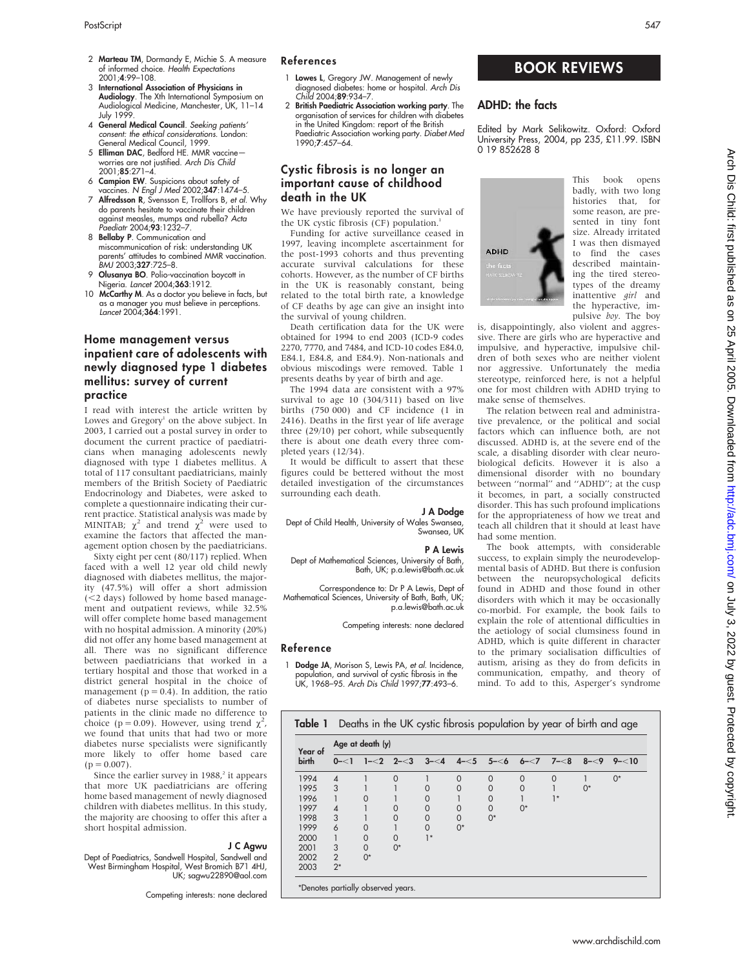- 2 Marteau TM, Dormandy E, Michie S. A measure of informed choice. Health Expectations 2001;4:99–108.
- 3 International Association of Physicians in Audiology. The Xth International Symposium on Audiological Medicine, Manchester, UK, 11–14 July 1999.
- 4 General Medical Council. Seeking patients' consent: the ethical considerations. London:
- General Medical Council, 1999.<br>5 **Elliman DAC**, Bedford HE. MMR vaccine worries are not justified. Arch Dis Child 2001;85:271–4.
- 6 Campion EW. Suspicions about safety of vaccines. N Engl J Med 2002;347:1474-5.
- 7 Alfredsson R, Svensson E, Trollfors B, et al. Why do parents hesitate to vaccinate their children against measles, mumps and rubella? Acta Paediatr 2004;93:1232–7.
- 8 Bellaby P. Communication and miscommunication of risk: understanding UK parents' attitudes to combined MMR vaccination. .<br>BMJ 2003:**327**:725-8.
- 9 Olusanya BO. Polio-vaccination boycott in Nigeria. Lancet 2004;363:1912.
- 10 McCarthy M. As a doctor you believe in facts, but as a manager you must believe in perceptions.<br>*Lancet* 2004;**364**:1991.

## Home management versus inpatient care of adolescents with newly diagnosed type 1 diabetes mellitus: survey of current practice

I read with interest the article written by Lowes and Gregory<sup>1</sup> on the above subject. In 2003, I carried out a postal survey in order to document the current practice of paediatricians when managing adolescents newly diagnosed with type 1 diabetes mellitus. A total of 117 consultant paediatricians, mainly members of the British Society of Paediatric Endocrinology and Diabetes, were asked to complete a questionnaire indicating their current practice. Statistical analysis was made by MINITAB;  $\chi^2$  and trend  $\chi^2$  were used to examine the factors that affected the management option chosen by the paediatricians.

Sixty eight per cent (80/117) replied. When faced with a well 12 year old child newly diagnosed with diabetes mellitus, the majority (47.5%) will offer a short admission  $(<$ 2 days) followed by home based management and outpatient reviews, while 32.5% will offer complete home based management with no hospital admission. A minority (20%) did not offer any home based management at all. There was no significant difference between paediatricians that worked in a tertiary hospital and those that worked in a district general hospital in the choice of management ( $p = 0.\overline{4}$ ). In addition, the ratio of diabetes nurse specialists to number of patients in the clinic made no difference to choice ( $p = 0.09$ ). However, using trend  $\chi^2$ , we found that units that had two or more diabetes nurse specialists were significantly more likely to offer home based care  $(p = 0.007)$ .

Since the earlier survey in  $1988$ ,<sup>2</sup> it appears that more UK paediatricians are offering home based management of newly diagnosed children with diabetes mellitus. In this study, the majority are choosing to offer this after a short hospital admission.

## J C Agwu

Dept of Paediatrics, Sandwell Hospital, Sandwell and West Birmingham Hospital, West Bromich B71 4HJ, UK; sagwu22890@aol.com

Competing interests: none declared

## References

- 1 Lowes L, Gregory JW. Management of newly diagnosed diabetes: home or hospital. Arch Dis Child 2004;89:934–7.
- 2 British Paediatric Association working party. The organisation of services for children with diabetes in the United Kingdom: report of the British Paediatric Association working party. Diabet Med 1990;7:457–64.

## Cystic fibrosis is no longer an important cause of childhood death in the UK

We have previously reported the survival of the UK cystic fibrosis (CF) population.<sup>1</sup>

Funding for active surveillance ceased in 1997, leaving incomplete ascertainment for the post-1993 cohorts and thus preventing accurate survival calculations for these cohorts. However, as the number of CF births in the UK is reasonably constant, being related to the total birth rate, a knowledge of CF deaths by age can give an insight into the survival of young children.

Death certification data for the UK were obtained for 1994 to end 2003 (ICD-9 codes 2270, 7770, and 7484, and ICD-10 codes E84.0, E84.1, E84.8, and E84.9). Non-nationals and obvious miscodings were removed. Table 1 presents deaths by year of birth and age.

The 1994 data are consistent with a 97% survival to age 10 (304/311) based on live births (750 000) and CF incidence (1 in 2416). Deaths in the first year of life average three (29/10) per cohort, while subsequently there is about one death every three completed years (12/34).

It would be difficult to assert that these figures could be bettered without the most detailed investigation of the circumstances surrounding each death.

#### J A Dodge

Dept of Child Health, University of Wales Swansea, Swansea, UK

#### P A Lewis

Dept of Mathematical Sciences, University of Bath, Bath, UK; p.a.lewis@bath.ac.uk

Correspondence to: Dr P A Lewis, Dept of Mathematical Sciences, University of Bath, Bath, UK; p.a.lewis@bath.ac.uk

Competing interests: none declared

### Reference

1 Dodge JA, Morison S, Lewis PA, et al. Incidence, population, and survival of cystic fibrosis in the UK, 1968–95. Arch Dis Child 1997;77:493–6.

# BOOK REVIEWS

## ADHD: the facts

Edited by Mark Selikowitz. Oxford: Oxford University Press, 2004, pp 235, £11.99. ISBN 0 19 852628 8

**ADHD** 

This book opens badly, with two long histories that, for some reason, are presented in tiny font size. Already irritated I was then dismayed to find the cases described maintaining the tired stereotypes of the dreamy inattentive girl and the hyperactive, impulsive boy. The boy

is, disappointingly, also violent and aggressive. There are girls who are hyperactive and impulsive, and hyperactive, impulsive children of both sexes who are neither violent nor aggressive. Unfortunately the media stereotype, reinforced here, is not a helpful one for most children with ADHD trying to make sense of themselves.

The relation between real and administrative prevalence, or the political and social factors which can influence both, are not discussed. ADHD is, at the severe end of the scale, a disabling disorder with clear neurobiological deficits. However it is also a dimensional disorder with no boundary between ''normal'' and ''ADHD''; at the cusp it becomes, in part, a socially constructed disorder. This has such profound implications for the appropriateness of how we treat and teach all children that it should at least have had some mention.

The book attempts, with considerable success, to explain simply the neurodevelopmental basis of ADHD. But there is confusion between the neuropsychological deficits found in ADHD and those found in other disorders with which it may be occasionally co-morbid. For example, the book fails to explain the role of attentional difficulties in the aetiology of social clumsiness found in ADHD, which is quite different in character to the primary socialisation difficulties of autism, arising as they do from deficits in communication, empathy, and theory of mind. To add to this, Asperger's syndrome

www.archdischild.com

| Year of<br><b>birth</b> | Age at death (y) |             |             |          |                                                                  |          |          |          |       |       |
|-------------------------|------------------|-------------|-------------|----------|------------------------------------------------------------------|----------|----------|----------|-------|-------|
|                         | $0 - 1$          |             |             |          | $1 - 2$ 2- $3$ 3- $4$ 4- $5$ 5- $6$ 6- $7$ 7- $8$ 8- $9$ 9- $10$ |          |          |          |       |       |
| 1994                    | 4                |             | 0           |          | 0                                                                |          |          | $\Omega$ |       | $0^*$ |
| 1995                    | 3                |             |             | 0        | $\Omega$                                                         | $\Omega$ | $\Omega$ |          | $0^*$ |       |
| 1996                    |                  | Ω           |             | O        |                                                                  | O        |          | $1*$     |       |       |
| 1997                    | 4                |             |             | 0        | 0                                                                | $\Omega$ | $0^*$    |          |       |       |
| 1998                    | 3                |             |             | 0        | $\Omega$                                                         | $()^*$   |          |          |       |       |
| 1999                    | 6                | 0           |             | $\Omega$ | $()^*$                                                           |          |          |          |       |       |
| 2000                    |                  | 0           | $\mathbf 0$ | $1*$     |                                                                  |          |          |          |       |       |
| 2001                    | 3                | $\mathbf 0$ | $0^*$       |          |                                                                  |          |          |          |       |       |
| 2002                    | $\overline{2}$   | $0^*$       |             |          |                                                                  |          |          |          |       |       |
| 2003                    | $2^*$            |             |             |          |                                                                  |          |          |          |       |       |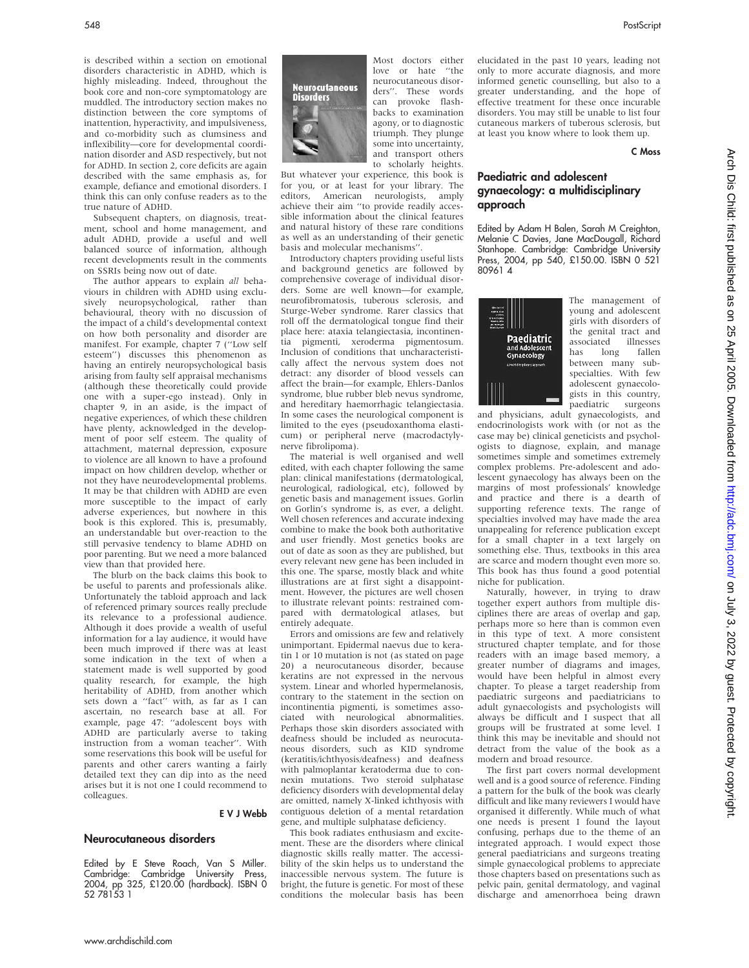is described within a section on emotional disorders characteristic in ADHD, which is highly misleading. Indeed, throughout the book core and non-core symptomatology are muddled. The introductory section makes no distinction between the core symptoms of inattention, hyperactivity, and impulsiveness, and co-morbidity such as clumsiness and inflexibility—core for developmental coordination disorder and ASD respectively, but not for ADHD. In section 2, core deficits are again described with the same emphasis as, for example, defiance and emotional disorders. I think this can only confuse readers as to the true nature of ADHD.

Subsequent chapters, on diagnosis, treatment, school and home management, and adult ADHD, provide a useful and well balanced source of information, although recent developments result in the comments on SSRIs being now out of date.

The author appears to explain all behaviours in children with ADHD using exclusively neuropsychological, rather than behavioural, theory with no discussion of the impact of a child's developmental context on how both personality and disorder are manifest. For example, chapter 7 (''Low self esteem'') discusses this phenomenon as having an entirely neuropsychological basis arising from faulty self appraisal mechanisms (although these theoretically could provide one with a super-ego instead). Only in chapter 9, in an aside, is the impact of negative experiences, of which these children have plenty, acknowledged in the development of poor self esteem. The quality of attachment, maternal depression, exposure to violence are all known to have a profound impact on how children develop, whether or not they have neurodevelopmental problems. It may be that children with ADHD are even more susceptible to the impact of early adverse experiences, but nowhere in this book is this explored. This is, presumably, an understandable but over-reaction to the still pervasive tendency to blame ADHD on poor parenting. But we need a more balanced view than that provided here.

The blurb on the back claims this book to be useful to parents and professionals alike. Unfortunately the tabloid approach and lack of referenced primary sources really preclude its relevance to a professional audience. Although it does provide a wealth of useful information for a lay audience, it would have been much improved if there was at least some indication in the text of when a statement made is well supported by good quality research, for example, the high heritability of ADHD, from another which sets down a "fact" with, as far as I can ascertain, no research base at all. For example, page 47: "adolescent boys with ADHD are particularly averse to taking instruction from a woman teacher''. With some reservations this book will be useful for parents and other carers wanting a fairly detailed text they can dip into as the need arises but it is not one I could recommend to colleagues.

## E V J Webb

## Neurocutaneous disorders

Edited by E Steve Roach, Van S Miller. Cambridge: Cambridge University Press, 2004, pp 325, £120.00 (hardback). ISBN 0 52 78153 1

Neurocutaneous<br>Disorders

Most doctors either love or hate ''the neurocutaneous disorders''. These words can provoke flashbacks to examination agony, or to diagnostic triumph. They plunge some into uncertainty, and transport others to scholarly heights.

But whatever your experience, this book is for you, or at least for your library. The editors, American neurologists, amply achieve their aim ''to provide readily accessible information about the clinical features and natural history of these rare conditions as well as an understanding of their genetic basis and molecular mechanisms''.

Introductory chapters providing useful lists and background genetics are followed by comprehensive coverage of individual disorders. Some are well known—for example, neurofibromatosis, tuberous sclerosis, and Sturge-Weber syndrome. Rarer classics that roll off the dermatological tongue find their place here: ataxia telangiectasia, incontinentia pigmenti, xeroderma pigmentosum. Inclusion of conditions that uncharacteristically affect the nervous system does not detract: any disorder of blood vessels can affect the brain—for example, Ehlers-Danlos syndrome, blue rubber bleb nevus syndrome, and hereditary haemorrhagic telangiectasia. In some cases the neurological component is limited to the eyes (pseudoxanthoma elasticum) or peripheral nerve (macrodactylynerve fibrolipoma).

The material is well organised and well edited, with each chapter following the same plan: clinical manifestations (dermatological, neurological, radiological, etc), followed by genetic basis and management issues. Gorlin on Gorlin's syndrome is, as ever, a delight. Well chosen references and accurate indexing combine to make the book both authoritative and user friendly. Most genetics books are out of date as soon as they are published, but every relevant new gene has been included in this one. The sparse, mostly black and white illustrations are at first sight a disappointment. However, the pictures are well chosen to illustrate relevant points: restrained compared with dermatological atlases, but entirely adequate.

Errors and omissions are few and relatively unimportant. Epidermal naevus due to keratin 1 or 10 mutation is not (as stated on page 20) a neurocutaneous disorder, because keratins are not expressed in the nervous system. Linear and whorled hypermelanosis, contrary to the statement in the section on incontinentia pigmenti, is sometimes associated with neurological abnormalities. Perhaps those skin disorders associated with deafness should be included as neurocutaneous disorders, such as KID syndrome (keratitis/ichthyosis/deafness) and deafness with palmoplantar keratoderma due to connexin mutations. Two steroid sulphatase deficiency disorders with developmental delay are omitted, namely X-linked ichthyosis with contiguous deletion of a mental retardation gene, and multiple sulphatase deficiency.

This book radiates enthusiasm and excitement. These are the disorders where clinical diagnostic skills really matter. The accessibility of the skin helps us to understand the inaccessible nervous system. The future is bright, the future is genetic. For most of these conditions the molecular basis has been elucidated in the past 10 years, leading not only to more accurate diagnosis, and more informed genetic counselling, but also to a greater understanding, and the hope of effective treatment for these once incurable disorders. You may still be unable to list four cutaneous markers of tuberous sclerosis, but at least you know where to look them up.

C Moss

## Paediatric and adolescent gynaecology: a multidisciplinary approach

Edited by Adam H Balen, Sarah M Creighton, Melanie C Davies, Jane MacDougall, Richard Stanhope. Cambridge: Cambridge University Press, 2004, pp 540, £150.00. ISBN 0 521 80961 4



The management of young and adolescent girls with disorders of the genital tract and<br>associated illnesses associated has long fallen between many subspecialties. With few adolescent gynaecologists in this country, paediatric surgeons

and physicians, adult gynaecologists, and endocrinologists work with (or not as the case may be) clinical geneticists and psychologists to diagnose, explain, and manage sometimes simple and sometimes extremely complex problems. Pre-adolescent and adolescent gynaecology has always been on the margins of most professionals' knowledge and practice and there is a dearth of supporting reference texts. The range of specialties involved may have made the area unappealing for reference publication except for a small chapter in a text largely on something else. Thus, textbooks in this area are scarce and modern thought even more so. This book has thus found a good potential niche for publication.

Naturally, however, in trying to draw together expert authors from multiple disciplines there are areas of overlap and gap, perhaps more so here than is common even in this type of text. A more consistent structured chapter template, and for those readers with an image based memory, a greater number of diagrams and images, would have been helpful in almost every chapter. To please a target readership from paediatric surgeons and paediatricians to adult gynaecologists and psychologists will always be difficult and I suspect that all groups will be frustrated at some level. I think this may be inevitable and should not detract from the value of the book as a modern and broad resource.

The first part covers normal development well and is a good source of reference. Finding a pattern for the bulk of the book was clearly difficult and like many reviewers I would have organised it differently. While much of what one needs is present I found the layout confusing, perhaps due to the theme of an integrated approach. I would expect those general paediatricians and surgeons treating simple gynaecological problems to appreciate those chapters based on presentations such as pelvic pain, genital dermatology, and vaginal discharge and amenorrhoea being drawn